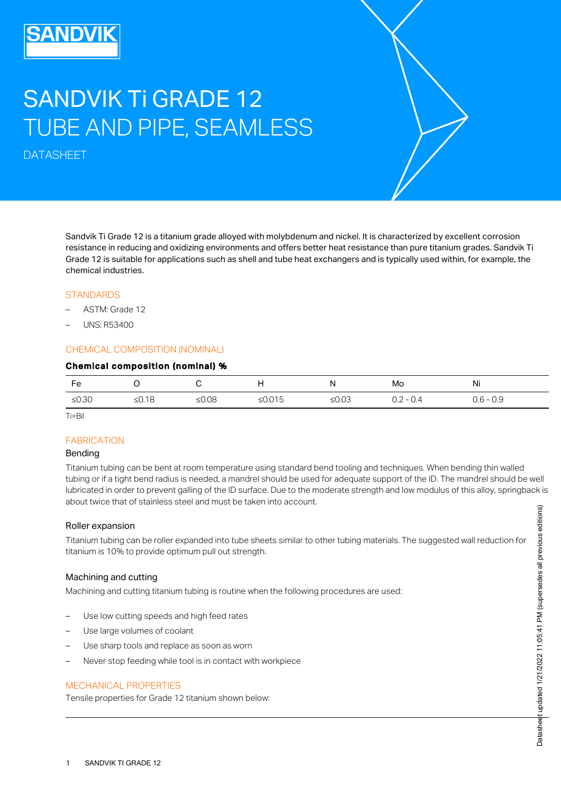# SANDVIK Ti GRADE 12 TUBE AND PIPE, SEAMLESS

DATASHEET

Sandvik Ti Grade 12 is a titanium grade alloyed with molybdenum and nickel. It is characterized by excellent corrosion resistance in reducing and oxidizing environments and offers better heat resistance than pure titanium grades. Sandvik Ti Grade 12 is suitable for applications such as shell and tube heat exchangers and is typically used within, for example, the chemical industries.

## **STANDARDS**

- ASTM: Grade 12
- UNS: R53400

#### CHEMICAL COMPOSITION (NOMINAL)

#### Chemical composition (nominal) %

| Fe       |          |       | . .       | . .      | Mo          | Ni          |
|----------|----------|-------|-----------|----------|-------------|-------------|
| ≤ $0.30$ | ≤ $0.18$ | ≤0.08 | ≤ $0.015$ | ≤ $0.03$ | $0.2 - 0.4$ | $0.6 - 0.9$ |

Ti=Bil

#### **FABRICATION**

#### Bending

Titanium tubing can be bent at room temperature using standard bend tooling and techniques. When bending thin walled tubing or if a tight bend radius is needed, a mandrel should be used for adequate support of the ID. The mandrel should be well lubricated in order to prevent galling of the ID surface. Due to the moderate strength and low modulus of this alloy, springback is about twice that of stainless steel and must be taken into account.

#### Roller expansion

Titanium tubing can be roller expanded into tube sheets similar to other tubing materials. The suggested wall reduction for titanium is 10% to provide optimum pull out strength.

#### Machining and cutting

Machining and cutting titanium tubing is routine when the following procedures are used:

- Use low cutting speeds and high feed rates
- Use large volumes of coolant
- Use sharp tools and replace as soon as worn
- Never stop feeding while tool is in contact with workpiece

#### MECHANICAL PROPERTIES

Tensile properties for Grade 12 titanium shown below: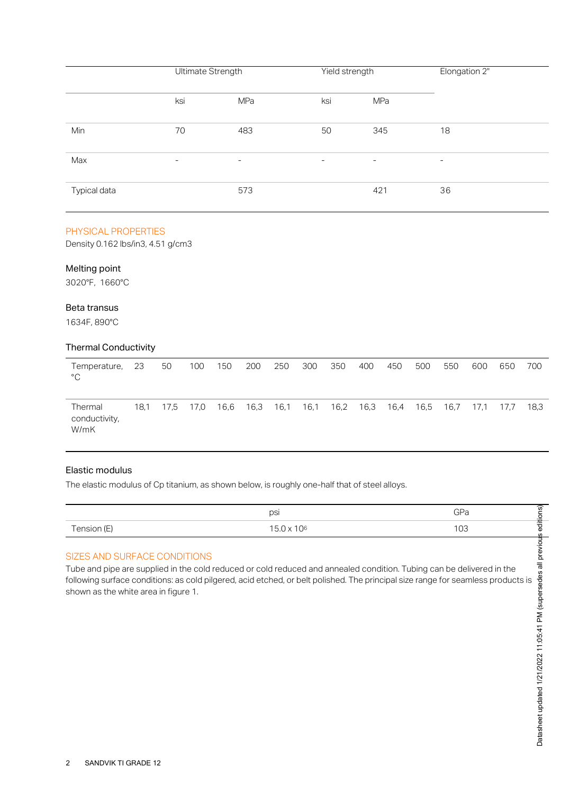|              | Ultimate Strength        |                          | Yield strength           |     | Elongation 2"            |  |  |
|--------------|--------------------------|--------------------------|--------------------------|-----|--------------------------|--|--|
|              | ksi                      | MPa                      | ksi                      | MPa |                          |  |  |
| Min          | 70                       | 483                      | 50                       | 345 | 18                       |  |  |
| Max          | $\overline{\phantom{0}}$ | $\overline{\phantom{a}}$ | $\overline{\phantom{a}}$ | -   | $\overline{\phantom{a}}$ |  |  |
| Typical data |                          | 573                      |                          | 421 | 36                       |  |  |

#### PHYSICAL PROPERTIES

Density 0.162 lbs/in3, 4.51 g/cm3

#### Melting point

3020°F, 1660°C

## Beta transus

1634F, 890°C

## Thermal Conductivity

| Temperature,<br>$^{\circ}$ C     | -23  | 50   | 100  | 150 | 200       | 250  | 300 | 350       | 400 | 450       | 500  | 550  | 600  | 650  | 700  |
|----------------------------------|------|------|------|-----|-----------|------|-----|-----------|-----|-----------|------|------|------|------|------|
| Thermal<br>conductivity,<br>W/mK | 18.1 | 17.5 | 17,0 |     | 16,6 16,3 | 16,1 |     | 16,1 16,2 |     | 16,3 16,4 | 16,5 | 16,7 | 17.1 | 17.7 | 18,3 |

## Elastic modulus

The elastic modulus of Cp titanium, as shown below, is roughly one-half that of steel alloys.

|             | psi                                    | $\cap$ n    | ~<br>ີທີ<br>- |
|-------------|----------------------------------------|-------------|---------------|
| Tension (E) | 106<br>$\overline{\phantom{0}}$<br>. L | $\sim$<br>◡ | Φ<br>ഗ        |

# SIZES AND SURFACE CONDITIONS

Tube and pipe are supplied in the cold reduced or cold reduced and annealed condition. Tubing can be delivered in the FOLLOWING SURFACE CONDITIONS<br>
Tube and pipe are supplied in the cold reduced or cold reduced and annealed condition. Tubing can be delivered in the<br>
Tollowing surface conditions: as cold pilgered, acid etched, or belt poli shown as the white area in figure 1.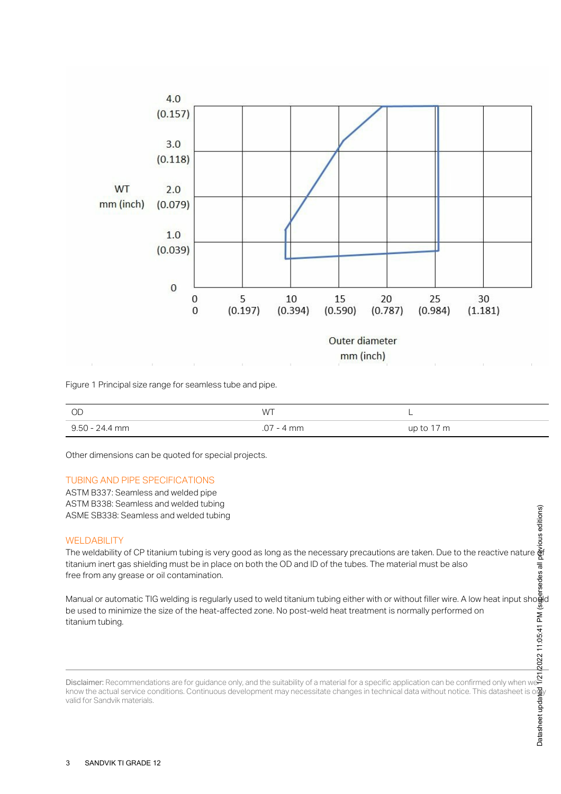

Figure 1 Principal size range for seamless tube and pipe.

| OD             | <b>WT</b>    | -          |
|----------------|--------------|------------|
| 9.50 - 24.4 mm | $.07 - 4$ mm | up to 17 m |

Other dimensions can be quoted for special projects.

#### TUBING AND PIPE SPECIFICATIONS

ASTM B337: Seamless and welded pipe ASTM B338: Seamless and welded tubing ASME SB338: Seamless and welded tubing

#### WELDABILITY

The weldability of CP titanium tubing is very good as long as the necessary precautions are taken. Due to the reactive nature **o**f titanium inert gas shielding must be in place on both the OD and ID of the tubes. The material must be also free from any grease or oil contamination.

Manual or automatic TIG welding is regularly used to weld titanium tubing either with or without filler wire. A low heat input sho**ğ**ld be used to minimize the size of the heat-affected zone. No post-weld heat treatment is normally performed on titanium tubing. Datasheet updated 1/21/2022 11:05:41 PM (supersedes all previous editions)

Disclaimer: Recommendations are for guidance only, and the suitability of a material for a specific application can be confirmed only when we know the actual service conditions. Continuous development may necessitate changes in technical data without notice. This datasheet is only valid for Sandvik materials.